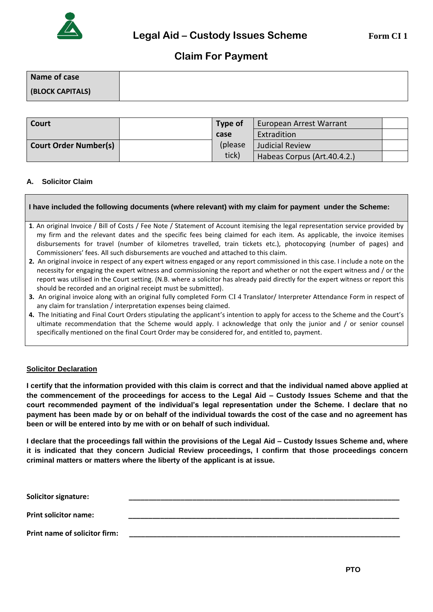

# **Claim For Payment**

| Name of case     |  |
|------------------|--|
| (BLOCK CAPITALS) |  |

| Court                        | Type of  | European Arrest Warrant     |  |
|------------------------------|----------|-----------------------------|--|
|                              | case     | Extradition                 |  |
| <b>Court Order Number(s)</b> | (please) | <b>Judicial Review</b>      |  |
|                              | tick)    | Habeas Corpus (Art.40.4.2.) |  |

# **A. Solicitor Claim**

# **I have included the following documents (where relevant) with my claim for payment under the Scheme:**

- **1**. An original Invoice / Bill of Costs / Fee Note / Statement of Account itemising the legal representation service provided by my firm and the relevant dates and the specific fees being claimed for each item. As applicable, the invoice itemises disbursements for travel (number of kilometres travelled, train tickets etc.), photocopying (number of pages) and Commissioners' fees. All such disbursements are vouched and attached to this claim.
- **2.** An original invoice in respect of any expert witness engaged or any report commissioned in this case. I include a note on the necessity for engaging the expert witness and commissioning the report and whether or not the expert witness and / or the report was utilised in the Court setting. (N.B. where a solicitor has already paid directly for the expert witness or report this should be recorded and an original receipt must be submitted).
- **3.** An original invoice along with an original fully completed Form CI 4 Translator/ Interpreter Attendance Form in respect of any claim for translation / interpretation expenses being claimed.
- **4.** The Initiating and Final Court Orders stipulating the applicant's intention to apply for access to the Scheme and the Court's ultimate recommendation that the Scheme would apply. I acknowledge that only the junior and / or senior counsel specifically mentioned on the final Court Order may be considered for, and entitled to, payment.

# **Solicitor Declaration**

**I certify that the information provided with this claim is correct and that the individual named above applied at the commencement of the proceedings for access to the Legal Aid – Custody Issues Scheme and that the court recommended payment of the individual's legal representation under the Scheme. I declare that no payment has been made by or on behalf of the individual towards the cost of the case and no agreement has been or will be entered into by me with or on behalf of such individual.**

**I declare that the proceedings fall within the provisions of the Legal Aid – Custody Issues Scheme and, where it is indicated that they concern Judicial Review proceedings, I confirm that those proceedings concern criminal matters or matters where the liberty of the applicant is at issue.**

| <b>Solicitor signature:</b>   |  |
|-------------------------------|--|
| <b>Print solicitor name:</b>  |  |
| Print name of solicitor firm: |  |